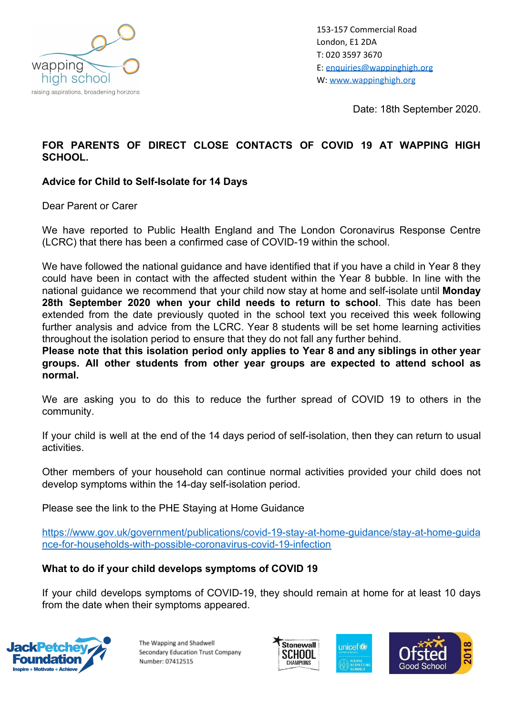

153-157 Commercial Road London, E1 2DA T: 020 3597 3670 E: [enquiries@wappinghigh.org](mailto:enquiries@wappinghigh.org) W: [www.wappinghigh.org](http://www.wappinghigh.org/)

Date: 18th September 2020.

# **FOR PARENTS OF DIRECT CLOSE CONTACTS OF COVID 19 AT WAPPING HIGH SCHOOL.**

#### **Advice for Child to Self-Isolate for 14 Days**

Dear Parent or Carer

We have reported to Public Health England and The London Coronavirus Response Centre (LCRC) that there has been a confirmed case of COVID-19 within the school.

We have followed the national guidance and have identified that if you have a child in Year 8 they could have been in contact with the affected student within the Year 8 bubble. In line with the national guidance we recommend that your child now stay at home and self-isolate until **Monday 28th September 2020 when your child needs to return to school**. This date has been extended from the date previously quoted in the school text you received this week following further analysis and advice from the LCRC. Year 8 students will be set home learning activities throughout the isolation period to ensure that they do not fall any further behind.

**Please note that this isolation period only applies to Year 8 and any siblings in other year groups. All other students from other year groups are expected to attend school as normal.**

We are asking you to do this to reduce the further spread of COVID 19 to others in the community.

If your child is well at the end of the 14 days period of self-isolation, then they can return to usual activities.

Other members of your household can continue normal activities provided your child does not develop symptoms within the 14-day self-isolation period.

Please see the link to the PHE Staying at Home Guidance

[https://www.gov.uk/government/publications/covid-19-stay-at-home-guidance/stay-at-home-guida](https://www.gov.uk/government/publications/covid-19-stay-at-home-guidance/stay-at-home-guidance-for-households-with-possible-coronavirus-covid-19-infection) [nce-for-households-with-possible-coronavirus-covid-19-infection](https://www.gov.uk/government/publications/covid-19-stay-at-home-guidance/stay-at-home-guidance-for-households-with-possible-coronavirus-covid-19-infection)

#### **What to do if your child develops symptoms of COVID 19**

If your child develops symptoms of COVID-19, they should remain at home for at least 10 days from the date when their symptoms appeared.



The Wapping and Shadwell Secondary Education Trust Company Number: 07412515